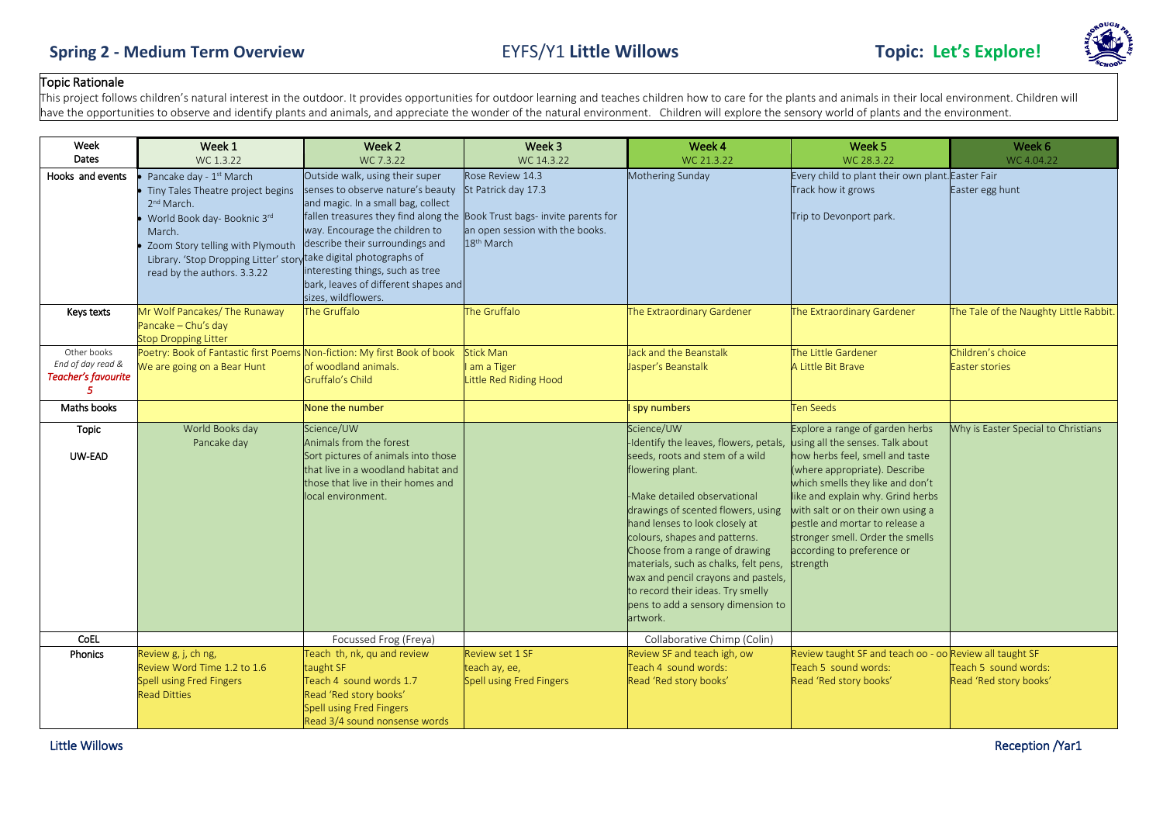

## Topic Rationale

This project follows children's natural interest in the outdoor. It provides opportunities for outdoor learning and teaches children how to care for the plants and animals in their local environment. Children will have the opportunities to observe and identify plants and animals, and appreciate the wonder of the natural environment. Children will explore the sensory world of plants and the environment.

| Week<br>Dates                    | Week 1                                                               | Week 2                                                                   | Week 3                                  | Week 4                                                                  | Week <sub>5</sub>                                                       | Week 6                                 |
|----------------------------------|----------------------------------------------------------------------|--------------------------------------------------------------------------|-----------------------------------------|-------------------------------------------------------------------------|-------------------------------------------------------------------------|----------------------------------------|
|                                  | WC 1.3.22                                                            | WC 7.3.22                                                                | WC 14.3.22                              | WC 21.3.22                                                              | WC 28.3.22                                                              | WC 4.04.22                             |
| Hooks and events                 | Pancake day - 1 <sup>st</sup> March                                  | Outside walk, using their super<br>senses to observe nature's beauty     | Rose Review 14.3<br>St Patrick day 17.3 | Mothering Sunday                                                        | Every child to plant their own plant. Easter Fair<br>Track how it grows | Easter egg hunt                        |
|                                  | Tiny Tales Theatre project begins<br>2 <sup>nd</sup> March.          | and magic. In a small bag, collect                                       |                                         |                                                                         |                                                                         |                                        |
|                                  | World Book day- Booknic 3rd                                          | fallen treasures they find along the Book Trust bags- invite parents for |                                         |                                                                         | Trip to Devonport park.                                                 |                                        |
|                                  | March.                                                               | way. Encourage the children to                                           | an open session with the books.         |                                                                         |                                                                         |                                        |
|                                  | Zoom Story telling with Plymouth                                     | describe their surroundings and                                          | 18 <sup>th</sup> March                  |                                                                         |                                                                         |                                        |
|                                  | Library. 'Stop Dropping Litter' story take digital photographs of    |                                                                          |                                         |                                                                         |                                                                         |                                        |
|                                  | read by the authors. 3.3.22                                          | interesting things, such as tree                                         |                                         |                                                                         |                                                                         |                                        |
|                                  |                                                                      | bark, leaves of different shapes and                                     |                                         |                                                                         |                                                                         |                                        |
|                                  |                                                                      | sizes, wildflowers.                                                      |                                         |                                                                         |                                                                         |                                        |
| Keys texts                       | Mr Wolf Pancakes/ The Runaway                                        | The Gruffalo                                                             | The Gruffalo                            | The Extraordinary Gardener                                              | The Extraordinary Gardener                                              | The Tale of the Naughty Little Rabbit. |
|                                  | Pancake - Chu's day                                                  |                                                                          |                                         |                                                                         |                                                                         |                                        |
|                                  | <b>Stop Dropping Litter</b>                                          |                                                                          |                                         |                                                                         |                                                                         |                                        |
| Other books<br>End of day read & | Poetry: Book of Fantastic first Poems<br>We are going on a Bear Hunt | Non-fiction: My first Book of book<br>of woodland animals.               | <b>Stick Man</b>                        | Jack and the Beanstalk                                                  | The Little Gardener                                                     | Children's choice                      |
| Teacher's favourite              |                                                                      | Gruffalo's Child                                                         | am a Tiger<br>Little Red Riding Hood    | Jasper's Beanstalk                                                      | A Little Bit Brave                                                      | Easter stories                         |
| 5                                |                                                                      |                                                                          |                                         |                                                                         |                                                                         |                                        |
| Maths books                      |                                                                      | None the number                                                          |                                         | spy numbers                                                             | <b>Ten Seeds</b>                                                        |                                        |
| Topic                            | World Books day                                                      | Science/UW                                                               |                                         | Science/UW                                                              | Explore a range of garden herbs                                         | Why is Easter Special to Christians    |
|                                  | Pancake day                                                          | Animals from the forest                                                  |                                         | -Identify the leaves, flowers, petals, using all the senses. Talk about |                                                                         |                                        |
| UW-EAD                           |                                                                      | Sort pictures of animals into those                                      |                                         | seeds, roots and stem of a wild                                         | how herbs feel, smell and taste                                         |                                        |
|                                  |                                                                      | that live in a woodland habitat and                                      |                                         | flowering plant.                                                        | (where appropriate). Describe                                           |                                        |
|                                  |                                                                      | those that live in their homes and                                       |                                         |                                                                         | which smells they like and don't                                        |                                        |
|                                  |                                                                      | local environment.                                                       |                                         | -Make detailed observational                                            | like and explain why. Grind herbs                                       |                                        |
|                                  |                                                                      |                                                                          |                                         | drawings of scented flowers, using<br>hand lenses to look closely at    | with salt or on their own using a<br>bestle and mortar to release a     |                                        |
|                                  |                                                                      |                                                                          |                                         | colours, shapes and patterns.                                           | stronger smell. Order the smells                                        |                                        |
|                                  |                                                                      |                                                                          |                                         | Choose from a range of drawing                                          | according to preference or                                              |                                        |
|                                  |                                                                      |                                                                          |                                         | materials, such as chalks, felt pens,                                   | strength                                                                |                                        |
|                                  |                                                                      |                                                                          |                                         | wax and pencil crayons and pastels,                                     |                                                                         |                                        |
|                                  |                                                                      |                                                                          |                                         | to record their ideas. Try smelly                                       |                                                                         |                                        |
|                                  |                                                                      |                                                                          |                                         | pens to add a sensory dimension to                                      |                                                                         |                                        |
|                                  |                                                                      |                                                                          |                                         | artwork.                                                                |                                                                         |                                        |
| CoEL                             |                                                                      | Focussed Frog (Freya)                                                    |                                         | Collaborative Chimp (Colin)                                             |                                                                         |                                        |
| Phonics                          | Review g, j, ch ng,                                                  | Teach th, nk, qu and review                                              | Review set 1 SF                         | Review SF and teach igh, ow                                             | Review taught SF and teach oo - oo Review all taught SF                 |                                        |
|                                  | Review Word Time 1.2 to 1.6                                          | taught SF                                                                | teach ay, ee,                           | Teach 4 sound words:                                                    | Teach 5 sound words:                                                    | Teach 5 sound words:                   |
|                                  | <b>Spell using Fred Fingers</b>                                      | Teach 4 sound words 1.7                                                  | Spell using Fred Fingers                | Read 'Red story books'                                                  | Read 'Red story books'                                                  | Read 'Red story books'                 |
|                                  | <b>Read Ditties</b>                                                  | Read 'Red story books'<br><b>Spell using Fred Fingers</b>                |                                         |                                                                         |                                                                         |                                        |
|                                  |                                                                      | Read 3/4 sound nonsense words                                            |                                         |                                                                         |                                                                         |                                        |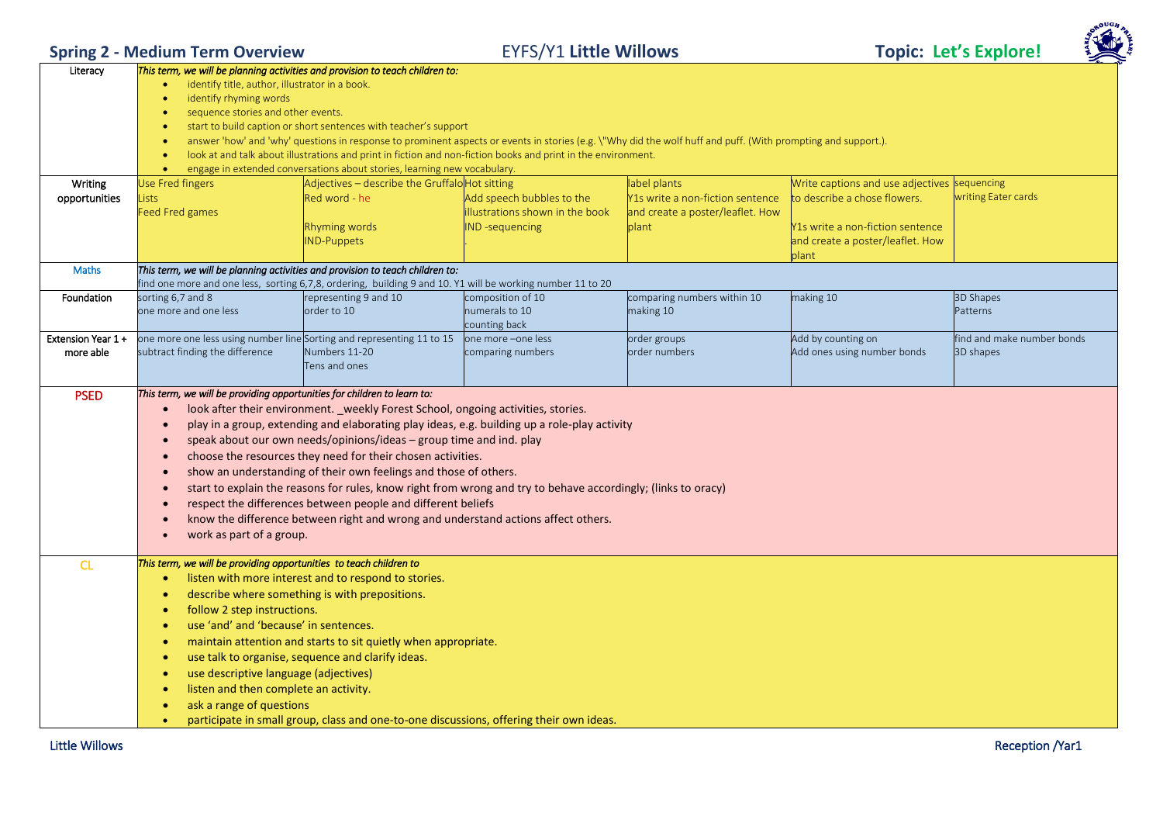**Spring 2 - Medium Term Overview** EYFS/Y1 **Little Willows Topic: Let's Explore!**



| Literacy          | This term, we will be planning activities and provision to teach children to:                                       |                                                                                                               |                                 |                                                                                                                                                               |                                              |                            |  |  |
|-------------------|---------------------------------------------------------------------------------------------------------------------|---------------------------------------------------------------------------------------------------------------|---------------------------------|---------------------------------------------------------------------------------------------------------------------------------------------------------------|----------------------------------------------|----------------------------|--|--|
|                   | identify title, author, illustrator in a book.                                                                      |                                                                                                               |                                 |                                                                                                                                                               |                                              |                            |  |  |
|                   | identify rhyming words                                                                                              |                                                                                                               |                                 |                                                                                                                                                               |                                              |                            |  |  |
|                   | sequence stories and other events.<br>٠                                                                             |                                                                                                               |                                 |                                                                                                                                                               |                                              |                            |  |  |
|                   | start to build caption or short sentences with teacher's support                                                    |                                                                                                               |                                 |                                                                                                                                                               |                                              |                            |  |  |
|                   | $\bullet$                                                                                                           |                                                                                                               |                                 | answer 'how' and 'why' questions in response to prominent aspects or events in stories (e.g. \"Why did the wolf huff and puff. (With prompting and support.). |                                              |                            |  |  |
|                   |                                                                                                                     | look at and talk about illustrations and print in fiction and non-fiction books and print in the environment. |                                 |                                                                                                                                                               |                                              |                            |  |  |
|                   |                                                                                                                     | engage in extended conversations about stories, learning new vocabulary.                                      |                                 |                                                                                                                                                               |                                              |                            |  |  |
| Writing           | <b>Jse Fred fingers</b>                                                                                             | Adjectives - describe the Gruffalo Hot sitting                                                                |                                 | label plants                                                                                                                                                  | Write captions and use adjectives sequencing |                            |  |  |
| opportunities     | ists                                                                                                                | Red word - he                                                                                                 | Add speech bubbles to the       | Y1s write a non-fiction sentence                                                                                                                              | to describe a chose flowers.                 | writing Eater cards        |  |  |
|                   | Feed Fred games                                                                                                     |                                                                                                               | illustrations shown in the book | and create a poster/leaflet. How                                                                                                                              |                                              |                            |  |  |
|                   |                                                                                                                     | Rhyming words                                                                                                 | <b>IND</b> -sequencing          | plant                                                                                                                                                         | Y1s write a non-fiction sentence             |                            |  |  |
|                   |                                                                                                                     | <b>ND-Puppets</b>                                                                                             |                                 |                                                                                                                                                               | and create a poster/leaflet. How             |                            |  |  |
|                   |                                                                                                                     |                                                                                                               |                                 |                                                                                                                                                               | plant                                        |                            |  |  |
|                   |                                                                                                                     |                                                                                                               |                                 |                                                                                                                                                               |                                              |                            |  |  |
| Maths             | This term, we will be planning activities and provision to teach children to:                                       | find one more and one less, sorting 6,7,8, ordering, building 9 and 10. Y1 will be working number 11 to 20    |                                 |                                                                                                                                                               |                                              |                            |  |  |
| Foundation        | sorting 6,7 and 8                                                                                                   | representing 9 and 10                                                                                         | composition of 10               | comparing numbers within 10                                                                                                                                   | making 10                                    | <b>3D Shapes</b>           |  |  |
|                   | one more and one less                                                                                               | order to 10                                                                                                   | numerals to 10                  | making 10                                                                                                                                                     |                                              | Patterns                   |  |  |
|                   |                                                                                                                     |                                                                                                               | counting back                   |                                                                                                                                                               |                                              |                            |  |  |
| Extension Year 1+ | one more one less using number line Sorting and representing 11 to 15                                               |                                                                                                               | one more -one less              | order groups                                                                                                                                                  | Add by counting on                           | find and make number bonds |  |  |
| more able         | subtract finding the difference                                                                                     | Numbers 11-20                                                                                                 | comparing numbers               | order numbers                                                                                                                                                 | Add ones using number bonds                  | 3D shapes                  |  |  |
|                   |                                                                                                                     | Tens and ones                                                                                                 |                                 |                                                                                                                                                               |                                              |                            |  |  |
|                   |                                                                                                                     |                                                                                                               |                                 |                                                                                                                                                               |                                              |                            |  |  |
| <b>PSED</b>       | This term, we will be providing opportunities for children to learn to:                                             |                                                                                                               |                                 |                                                                                                                                                               |                                              |                            |  |  |
|                   |                                                                                                                     | look after their environment. _weekly Forest School, ongoing activities, stories.                             |                                 |                                                                                                                                                               |                                              |                            |  |  |
|                   |                                                                                                                     |                                                                                                               |                                 |                                                                                                                                                               |                                              |                            |  |  |
|                   | play in a group, extending and elaborating play ideas, e.g. building up a role-play activity<br>$\bullet$           |                                                                                                               |                                 |                                                                                                                                                               |                                              |                            |  |  |
|                   | speak about our own needs/opinions/ideas - group time and ind. play<br>$\bullet$                                    |                                                                                                               |                                 |                                                                                                                                                               |                                              |                            |  |  |
|                   |                                                                                                                     | choose the resources they need for their chosen activities.                                                   |                                 |                                                                                                                                                               |                                              |                            |  |  |
|                   | $\bullet$                                                                                                           | show an understanding of their own feelings and those of others.                                              |                                 |                                                                                                                                                               |                                              |                            |  |  |
|                   |                                                                                                                     | start to explain the reasons for rules, know right from wrong and try to behave accordingly; (links to oracy) |                                 |                                                                                                                                                               |                                              |                            |  |  |
|                   | $\bullet$                                                                                                           | respect the differences between people and different beliefs                                                  |                                 |                                                                                                                                                               |                                              |                            |  |  |
|                   |                                                                                                                     | know the difference between right and wrong and understand actions affect others.                             |                                 |                                                                                                                                                               |                                              |                            |  |  |
|                   | work as part of a group.<br>$\bullet$                                                                               |                                                                                                               |                                 |                                                                                                                                                               |                                              |                            |  |  |
|                   |                                                                                                                     |                                                                                                               |                                 |                                                                                                                                                               |                                              |                            |  |  |
| CL                | This term, we will be providing opportunities to teach children to                                                  |                                                                                                               |                                 |                                                                                                                                                               |                                              |                            |  |  |
|                   | $\bullet$                                                                                                           | listen with more interest and to respond to stories.                                                          |                                 |                                                                                                                                                               |                                              |                            |  |  |
|                   | $\bullet$                                                                                                           | describe where something is with prepositions.                                                                |                                 |                                                                                                                                                               |                                              |                            |  |  |
|                   |                                                                                                                     |                                                                                                               |                                 |                                                                                                                                                               |                                              |                            |  |  |
|                   | follow 2 step instructions.<br>$\bullet$                                                                            |                                                                                                               |                                 |                                                                                                                                                               |                                              |                            |  |  |
|                   | use 'and' and 'because' in sentences.<br>$\bullet$                                                                  |                                                                                                               |                                 |                                                                                                                                                               |                                              |                            |  |  |
|                   | $\bullet$                                                                                                           | maintain attention and starts to sit quietly when appropriate.                                                |                                 |                                                                                                                                                               |                                              |                            |  |  |
|                   | use talk to organise, sequence and clarify ideas.<br>$\bullet$                                                      |                                                                                                               |                                 |                                                                                                                                                               |                                              |                            |  |  |
|                   | use descriptive language (adjectives)<br>$\bullet$                                                                  |                                                                                                               |                                 |                                                                                                                                                               |                                              |                            |  |  |
|                   | listen and then complete an activity.<br>$\bullet$                                                                  |                                                                                                               |                                 |                                                                                                                                                               |                                              |                            |  |  |
|                   | ask a range of questions<br>participate in small group, class and one-to-one discussions, offering their own ideas. |                                                                                                               |                                 |                                                                                                                                                               |                                              |                            |  |  |
|                   |                                                                                                                     |                                                                                                               |                                 |                                                                                                                                                               |                                              |                            |  |  |
|                   |                                                                                                                     |                                                                                                               |                                 |                                                                                                                                                               |                                              |                            |  |  |